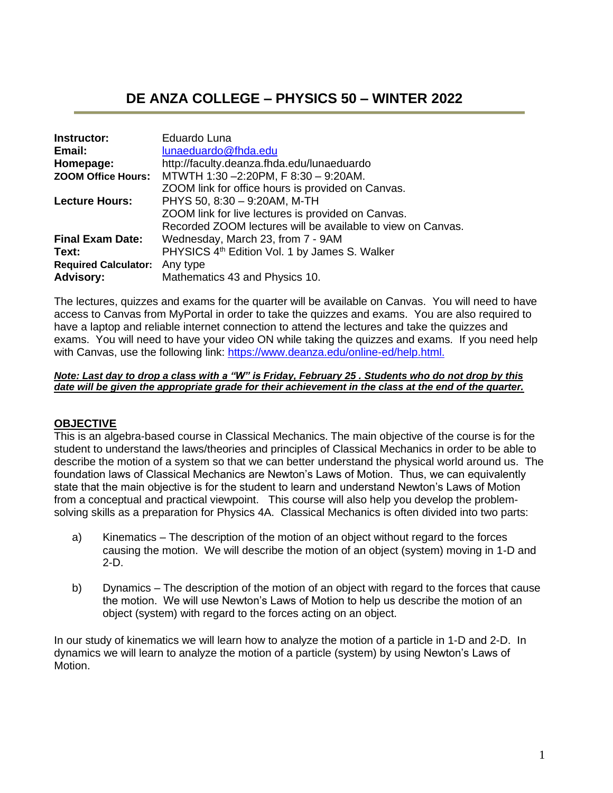# **DE ANZA COLLEGE – PHYSICS 50 – WINTER 2022**

| Instructor:                 | Eduardo Luna                                                |
|-----------------------------|-------------------------------------------------------------|
| Email:                      | lunaeduardo@fhda.edu                                        |
| Homepage:                   | http://faculty.deanza.fhda.edu/lunaeduardo                  |
| <b>ZOOM Office Hours:</b>   | MTWTH 1:30-2:20PM, F 8:30 - 9:20AM.                         |
|                             | ZOOM link for office hours is provided on Canvas.           |
| <b>Lecture Hours:</b>       | PHYS 50, 8:30 - 9:20AM, M-TH                                |
|                             | ZOOM link for live lectures is provided on Canvas.          |
|                             | Recorded ZOOM lectures will be available to view on Canvas. |
| <b>Final Exam Date:</b>     | Wednesday, March 23, from 7 - 9AM                           |
| Text:                       | PHYSICS 4 <sup>th</sup> Edition Vol. 1 by James S. Walker   |
| <b>Required Calculator:</b> | Any type                                                    |
| <b>Advisory:</b>            | Mathematics 43 and Physics 10.                              |

The lectures, quizzes and exams for the quarter will be available on Canvas. You will need to have access to Canvas from MyPortal in order to take the quizzes and exams. You are also required to have a laptop and reliable internet connection to attend the lectures and take the quizzes and exams. You will need to have your video ON while taking the quizzes and exams. If you need help with Canvas, use the following link: [https://www.deanza.edu/online-ed/help.html.](https://www.deanza.edu/online-ed/help.html)

#### *Note: Last day to drop a class with a "W" is Friday, February 25 . Students who do not drop by this date will be given the appropriate grade for their achievement in the class at the end of the quarter.*

## **OBJECTIVE**

This is an algebra-based course in Classical Mechanics. The main objective of the course is for the student to understand the laws/theories and principles of Classical Mechanics in order to be able to describe the motion of a system so that we can better understand the physical world around us. The foundation laws of Classical Mechanics are Newton's Laws of Motion. Thus, we can equivalently state that the main objective is for the student to learn and understand Newton's Laws of Motion from a conceptual and practical viewpoint. This course will also help you develop the problemsolving skills as a preparation for Physics 4A. Classical Mechanics is often divided into two parts:

- a) Kinematics The description of the motion of an object without regard to the forces causing the motion. We will describe the motion of an object (system) moving in 1-D and 2-D.
- b) Dynamics The description of the motion of an object with regard to the forces that cause the motion. We will use Newton's Laws of Motion to help us describe the motion of an object (system) with regard to the forces acting on an object.

In our study of kinematics we will learn how to analyze the motion of a particle in 1-D and 2-D. In dynamics we will learn to analyze the motion of a particle (system) by using Newton's Laws of Motion.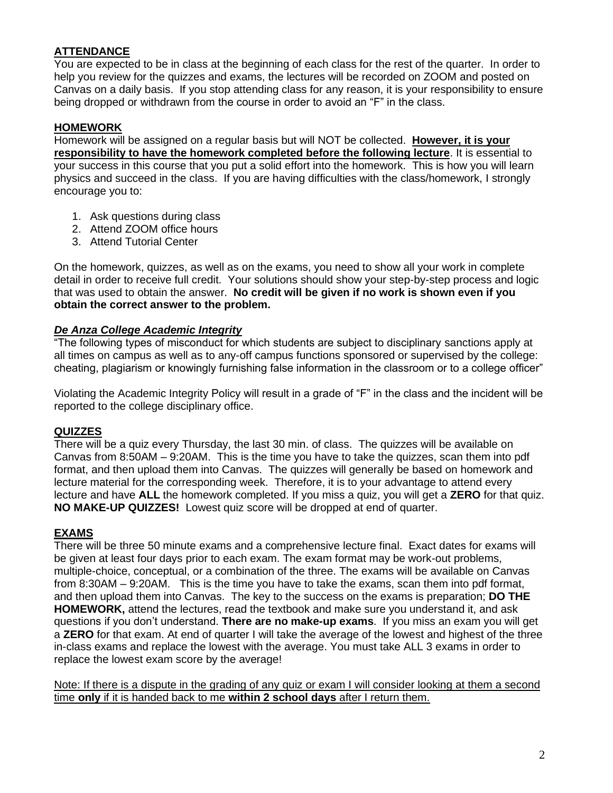## **ATTENDANCE**

You are expected to be in class at the beginning of each class for the rest of the quarter. In order to help you review for the quizzes and exams, the lectures will be recorded on ZOOM and posted on Canvas on a daily basis. If you stop attending class for any reason, it is your responsibility to ensure being dropped or withdrawn from the course in order to avoid an "F" in the class.

## **HOMEWORK**

Homework will be assigned on a regular basis but will NOT be collected. **However, it is your responsibility to have the homework completed before the following lecture**. It is essential to your success in this course that you put a solid effort into the homework. This is how you will learn physics and succeed in the class. If you are having difficulties with the class/homework, I strongly encourage you to:

- 1. Ask questions during class
- 2. Attend ZOOM office hours
- 3. Attend Tutorial Center

On the homework, quizzes, as well as on the exams, you need to show all your work in complete detail in order to receive full credit. Your solutions should show your step-by-step process and logic that was used to obtain the answer. **No credit will be given if no work is shown even if you obtain the correct answer to the problem.** 

### *De Anza College Academic Integrity*

"The following types of misconduct for which students are subject to disciplinary sanctions apply at all times on campus as well as to any-off campus functions sponsored or supervised by the college: cheating, plagiarism or knowingly furnishing false information in the classroom or to a college officer"

Violating the Academic Integrity Policy will result in a grade of "F" in the class and the incident will be reported to the college disciplinary office.

## **QUIZZES**

There will be a quiz every Thursday, the last 30 min. of class. The quizzes will be available on Canvas from 8:50AM – 9:20AM. This is the time you have to take the quizzes, scan them into pdf format, and then upload them into Canvas. The quizzes will generally be based on homework and lecture material for the corresponding week. Therefore, it is to your advantage to attend every lecture and have **ALL** the homework completed. If you miss a quiz, you will get a **ZERO** for that quiz. **NO MAKE-UP QUIZZES!** Lowest quiz score will be dropped at end of quarter.

#### **EXAMS**

There will be three 50 minute exams and a comprehensive lecture final. Exact dates for exams will be given at least four days prior to each exam. The exam format may be work-out problems, multiple-choice, conceptual, or a combination of the three. The exams will be available on Canvas from 8:30AM – 9:20AM. This is the time you have to take the exams, scan them into pdf format, and then upload them into Canvas. The key to the success on the exams is preparation; **DO THE HOMEWORK,** attend the lectures, read the textbook and make sure you understand it, and ask questions if you don't understand. **There are no make-up exams**. If you miss an exam you will get a **ZERO** for that exam. At end of quarter I will take the average of the lowest and highest of the three in-class exams and replace the lowest with the average. You must take ALL 3 exams in order to replace the lowest exam score by the average!

Note: If there is a dispute in the grading of any quiz or exam I will consider looking at them a second time **only** if it is handed back to me **within 2 school days** after I return them.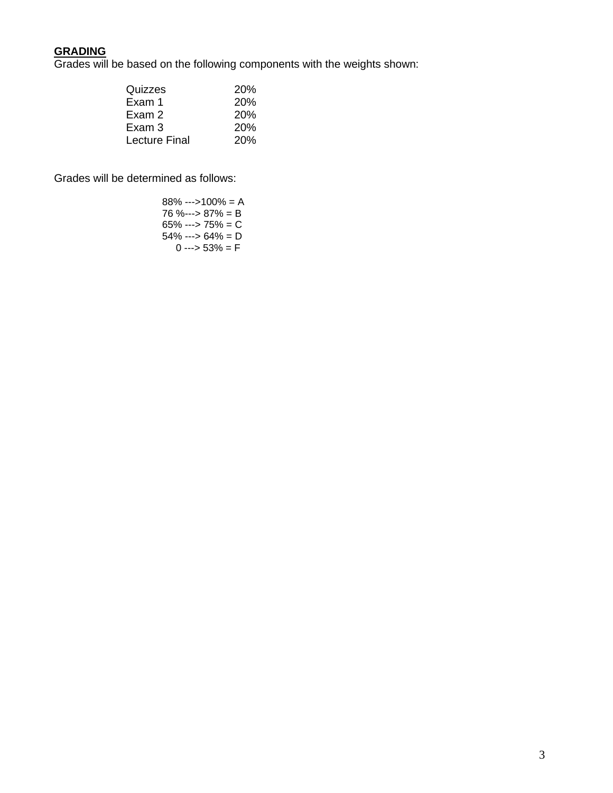### **GRADING**

Grades will be based on the following components with the weights shown:

| Quizzes              | <b>20%</b> |
|----------------------|------------|
| Exam 1               | 20%        |
| Exam 2               | 20%        |
| Exam 3               | 20%        |
| <b>Lecture Final</b> | 20%        |

Grades will be determined as follows:

| $88\% -5100\% = A$          |
|-----------------------------|
| 76 %---> 87% = B            |
| $65\% \rightarrow 75\% = C$ |
| 54% ---> 64% = D            |
| $0 \rightarrow 53\% = F$    |